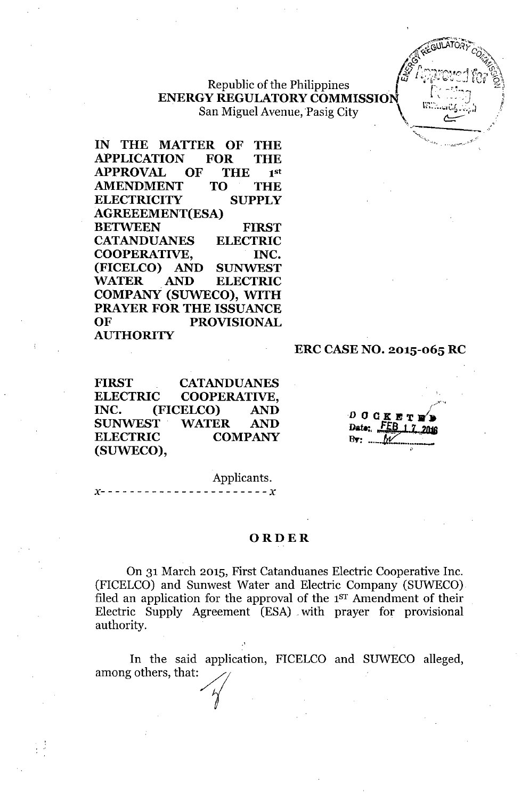# **Republic of the Philippines ENERGY REGULATORY COMMISSION** San Miguel Avenue, Pasig City

**IN THE MATTER OF THE APPLICATION FOR THE APPROVAL OF THE** 1st **AMENDMENT TO THE ELECTRICITY SUPPLY AGREEEMENT(ESA) BETWEEN FIRST CATANDUANES ELECTRIC COOPERATIVE, INC. (FICELCO) AND SUNWEST WATER AND ELECTRIC COMPANY (SUWECO), WITH PRAYER FOR THE ISSUANCE OF PROVISIONAL AUTHORITY**

#### **ERC CASENO. 2015-065 RC**

**FIRST CATANDUANES ELECTRIC COOPERATIVE, INC. (FICELCO) AND SUNWEST WATER AND ELECTRIC COMPANY (SUWECO),**

 $0$  O  $C$  K E T 1 Date: FE  $By:$  ... ľΛ

'\: .",-..>", , .. \_~-\_.' ••

Applicants.

 $- - - - x$ 

#### **ORDER**

On 31 March 2015, First Catanduanes Electric Cooperative Inc. (FICELCO) and Sunwest Water and Electric Company (SUWECO) filed an application for the approval of the 1<sup>st</sup> Amendment of their Electric Supply Agreement (ESA) with prayer for provisional authority.

In the said application, FICELCO and SUWECO alleged, among others, that: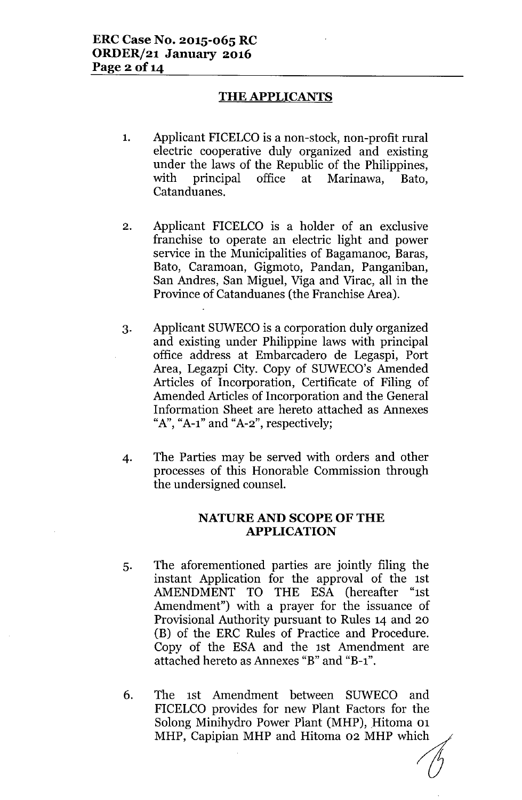# **THE APPLICANTS**

- 1. Applicant FICELCO is a non-stock, non-profit rural electric cooperative duly organized and existing under the laws of the Republic of the Philippines, with principal office at Marinawa, Bato, Catanduanes.
- 2. Applicant FICELCO is a holder of an exclusive franchise to operate an electric light and power service in the Municipalities of Bagamanoc, Baras, Bato, Caramoan, Gigmoto, Pandan, Panganiban, San Andres, San Miguel, Viga and Virac, all in the Province of Catanduanes (the Franchise Area).
- 3. Applicant SUWECO is a corporation duly organized and existing under Philippine laws with principal office address at Embarcadero de Legaspi, Port Area, Legazpi City. Copy of SUWECO's Amended Articles of Incorporation, Certificate of Filing of Amended Articles of Incorporation and the General Information Sheet are hereto attached as Annexes " $A$ ", " $A$ -1" and " $A$ -2", respectively;
- 4. The Parties may be served with orders and other processes of this Honorable Commission through the undersigned counsel.

#### NATURE AND SCOPE OF THE **APPLICATION**

- 5. The aforementioned parties are jointly filing the instant Application for the approval of the 1st AMENDMENT TO THE ESA (hereafter "1st Amendment") with a prayer for the issuance of Provisional Authority pursuant to Rules 14 and 20 (B) of the ERC Rules of Practice and Procedure. Copy of the ESA and the 1st Amendment are attached hereto as Annexes "B" and "B-1".
- 6. The 1st Amendment between SUWECO and FICELCO provides for new Plant Factors for the Solong Minihydro Power Plant (MHP), Hitoma 01 MHP, Capipian MHP and Hitoma 02 MHP which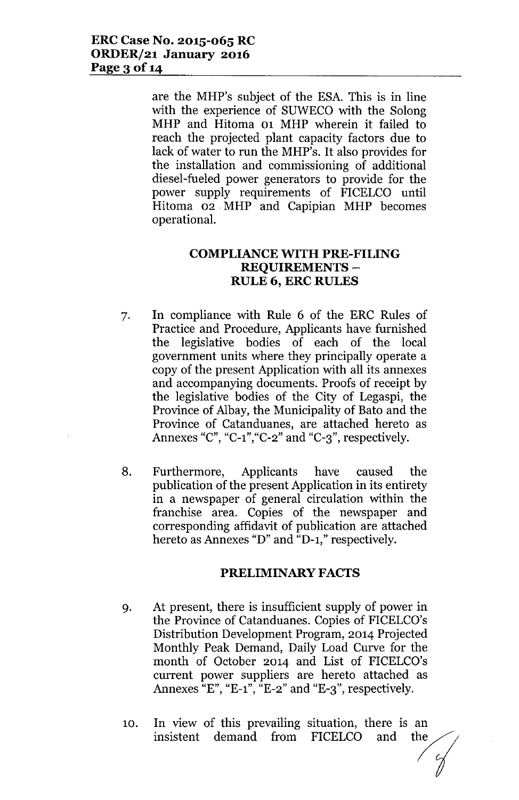are the MHP's subject of the ESA. This is in line with the experience of SUWECO with the Solong MHP and Hitoma 01 MHP wherein it failed to reach the projected plant capacity factors due to lack of water to run the MHP's. It also provides for the installation and commissioning of additional diesel-fueled power generators to provide for the power supply requirements of FICELCO until Hitoma 02. MHP and Capipian MHP becomes operational.

### **COMPLIANCE WITH PRE-FILING REQUIREMENTS - RULE 6, ERC RULES**

- 7. In compliance with Rule 6 of the ERC Rules of Practice and Procedure, Applicants have furnished the legislative bodies of each of the local government units where they principally operate a copy of the present Application with all its annexes and accompanying documents. Proofs of receipt by the legislative bodies of the City of Legaspi, the Province of Albay, the Municipality of Bato and the Province of Catanduanes, are attached hereto as Annexes "C", "C-1", "C-2" and "C-3", respectively.
- 8. Furthermore, Applicants have caused the publication of the present Application in its entirety in a newspaper of general circulation within the franchise area. Copies of the newspaper and corresponding affidavit of publication are attached hereto as Annexes "D" and "D-1," respectively.

# **PRELIMINARY FACTS**

- 9. At present, there is insufficient supply of power in the Province of Catanduanes. Copies of FICELCO's Distribution Development Program, 2014 Projected Monthly Peak Demand, Daily Load Curve for the month of October 2014 and List of FICELCO's current power suppliers are hereto attached as Annexes  ${}^{x}E^{n}$ ,  ${}^{x}E-1$ ,  ${}^{x}E-2$  and  ${}^{x}E-3$ , respectively.
- 10. In view of this prevailing situation, there is an insistent demand from FICELCO and the insistent demand from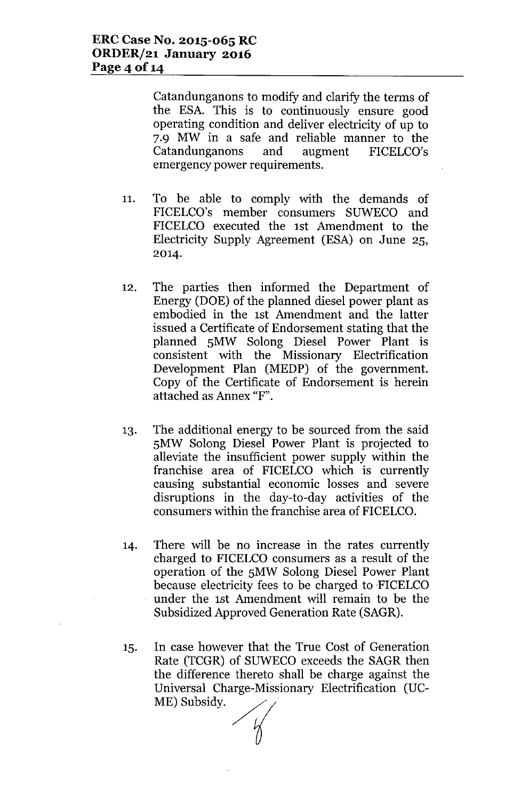Catandunganons to modify and clarify the terms of the ESA. This is to continuously ensure good operating condition and deliver electricity of up to 7.9 MW in a safe and reliable manner to the Catandunganons and augment FICELCO's emergency power requirements.

- 11. To be able to comply with the demands of FICELCO's member consumers SUWECO and FICELCO executed the 1st Amendment to the Electricity Supply Agreement (ESA) on June 25, 2014.
- 12. The parties then informed the Department of Energy (DOE) of the planned diesel power plant as embodied in the 1st Amendment and the latter issued a Certificate of Endorsement stating that the planned SMW Solong Diesel Power Plant is consistent with the Missionary Electrification Development Plan (MEDP) of the government. Copy of the Certificate of Endorsement is herein attached as Annex "F".
- 13. The additional energy to be sourced from the said SMW Solong Diesel Power Plant is projected to alleviate the insufficient power supply within the franchise area of FICELCO which is currently causing substantial economic losses and severe disruptions in the day-to-day activities of the consumers within the franchise area of FICELCO.
- 14. There will be no increase in the rates currently charged to FICELCO consumers as a result of the operation of the SMW Solong Diesel Power Plant because electricity fees to be charged to 'FICELCO under the 1st Amendment will remain to be the Subsidized Approved Generation Rate (SAGR).
- 15. In case however that the True Cost of Generation Rate (TCGR) of SUWECO exceeds the SAGR then the difference thereto shall be charge against the Universal Charge-Missionary Electrification (UC-ME) Subsidy.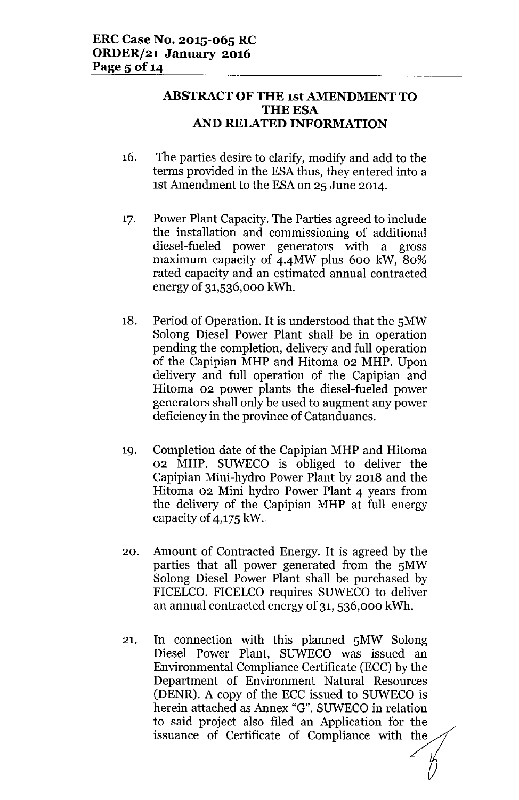# **ABSTRACT OF THE 1st AMENDMENT TO THE ESA AND RELATED INFORMATION**

- 16. The parties desire to clarify, modify and add to the terms provided in the ESA thus, they entered into a 1st Amendment to the ESAon 25 June 2014.
- 17. Power Plant Capacity. The Parties agreed to include the installation and commissioning of additional diesel-fueled power generators with a gross maximum capacity of 4.4MW plus 600 kW, 80% rated capacity and an estimated annual contracted energy of 31,536,000 kWh.
- 18. Period of Operation. It is understood that the 5MW Solong Diesel Power Plant shall be in operation pending the completion, delivery and full operation of the Capipian MHP and Hitoma 02 MHP. Upon delivery and full operation of the Capipian and Hitoma 02 power plants the diesel-fueled power generators shall only be used to augment any power deficiency in the province of Catanduanes.
- 19. Completion date of the Capipian MHP and Hitoma 02 MHP. SUWECO is obliged to deliver the Capipian Mini-hydro Power Plant by 2018 and the Hitoma 02 Mini hydro Power Plant 4 years from the delivery of the Capipian MHP at full energy capacity of 4,175 kW.
- 20. Amount of Contracted Energy. It is agreed by the parties that all power generated from the 5MW Solong Diesel Power Plant shall be purchased by FICELCO. FICELCO requires SUWECO to deliver an annual contracted energy of 31, 536,000 kWh.
- 21. In connection with this planned 5MW Solong Diesel Power Plant, SUWECO was issued an Environmental Compliance Certificate (ECC) by the Department of Environment Natural Resources (DENR). A copy of the ECC issued to SUWECO is herein attached as Annex "G". SUWECO in relation to said project also filed an Application for the (DENR). A copy of the ECC issued to SUWECO is<br>herein attached as Annex "G". SUWECO in relation<br>to said project also filed an Application for the<br>issuance of Certificate of Compliance with the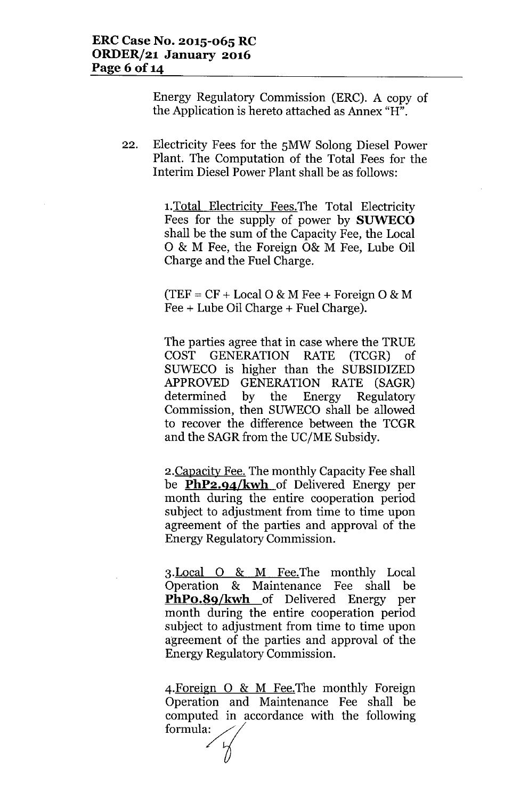Energy Regulatory Commission (ERC). A copy of the Application is hereto attached as Annex "H".

22. Electricity Fees for the SMW Solong Diesel Power Plant. The Computation of the Total Fees for the Interim Diesel Power Plant shall be as follows:

> 1.Total Electricity Fees.The Total Electricity Fees for the supply of power by **SUWECO** shall be the sum of the Capacity Fee, the Local o & M Fee, the Foreign 0& M Fee, Lube Oil Charge and the Fuel Charge.

 $(TEF = CF + Local O & M Free + Foreign O & M)$ Fee + Lube Oil Charge + Fuel Charge).

The parties agree that in case where the TRUE COST GENERATION RATE (TCGR) of SUWECO is higher than the SUBSIDIZED APPROVED GENERATION RATE (SAGR) determined by the Energy Regulatory Commission, then SUWECO shall be allowed to recover the difference between the TCGR and the SAGR from the UC/ME Subsidy.

2.Capacity Fee. The monthly Capacity Fee shall be **PhP2.94/kwh** of Delivered Energy per month during the entire cooperation period subject to adjustment from time to time upon agreement of the parties and approval of the Energy Regulatory Commission.

3.Local 0 & M Fee.The monthly Local Operation & Maintenance Fee shall be **PhPo.89/kwh** of Delivered Energy per month during the entire cooperation period subject to adjustment from time to time upon agreement of the parties and approval of the Energy Regulatory Commission.

4. Foreign O & M Fee. The monthly Foreign Operation and Maintenance Fee shall be computed in accordance with the following formula:  $\angle$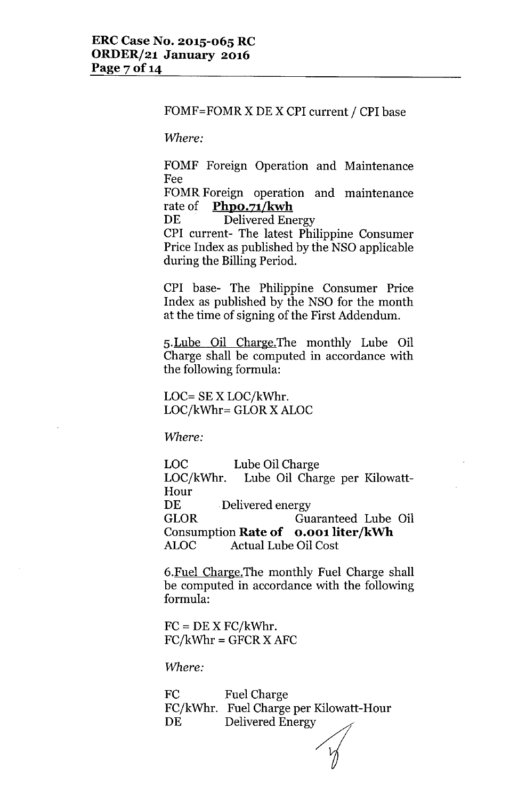#### FOMF=FOMRX DE X CPI current / CPI base

*Where:*

FOMF Foreign Operation and Maintenance Fee

FOMR Foreign operation and maintenance rate of **PhpO.71/kwh**

DE Delivered Energy

CPI current- The latest Philippine Consumer Price Index as published by the NSO applicable during the Billing Period.

CPI base- The Philippine Consumer Price Index as published by the NSO for the month at the time of signing of the First Addendum.

5.Lube Oil Charge.The monthly Lube Oil Charge shall be computed in accordance with the following formula:

LOC= SE X LOC/kWhr. LOC/kWhr= GLOR X ALOC

*Where:*

Lube Oil Charge Lube Oil Charge per Kilowatt-LOC LOC/kWhr. Hour DE Delivered energy GLOR Guaranteed Lube Oil Consumption **Rate of 0.001 liter/kWh** ALOC Actual Lube Oil Cost

6.Fuel Charge.The monthly Fuel Charge shall be computed in accordance with the following formula:

 $FC = DE X FC/kWhr.$  $FC/kWhr = GFCR X AFC$ 

*Where:*

FC FC/kWhr. Fuel Charge per Kilowatt-Hou DE Fuel Charge Delivered Energy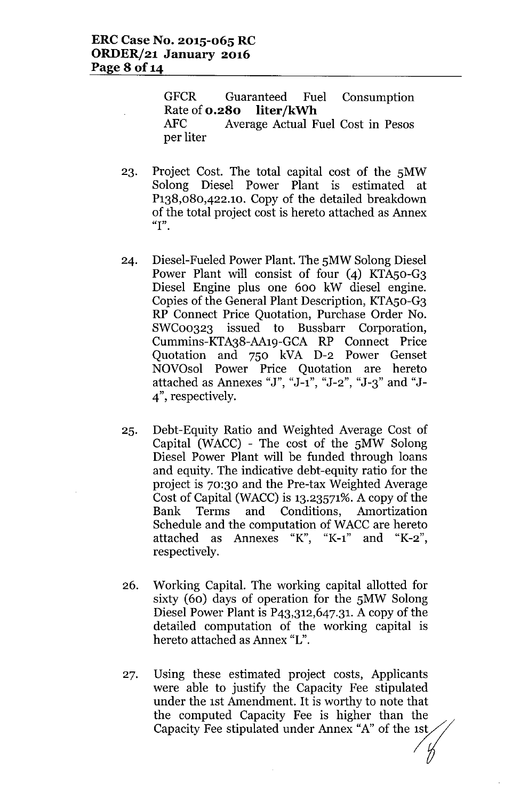GFCR Guaranteed Fuel Consumption Rate of **0.280** liter/kWh

AFC Average Actual Fuel Cost in Pesos per liter

- 23. Project Cost. The total capital cost of the 5MW Solong Diesel Power Plant is estimated at P138,080,422.1O. Copy of the detailed breakdown of the total project cost is hereto attached as Annex **"I".**
- 24. Diesel-Fueled Power Plant. The 5MW Solong Diesel Power Plant will consist of four (4) KTA50-G3 Diesel Engine plus one 600 kW diesel engine. Copies of the General Plant Description, KTAso-G3 RP Connect Price Quotation, Purchase Order No. SWC00323 issued to Bussbarr Corporation, Cummins-KTA38-AA19-GCA RP Connect Price Quotation and 750 kVA D-2 Power Genset NOVOsol Power Price Quotation are hereto attached as Annexes "J", "J-1", "J-2", "J-3" and "J-4", respectively.
- 25. Debt-Equity Ratio and Weighted Average Cost of Capital (WACC) - The cost of the 5MW Solong Diesel Power Plant will be funded through loans and equity. The indicative debt-equity ratio for the project is 70:30 and the Pre-tax Weighted Average Cost of Capital (WACC) is 13.23571%. A copy of the Bank Terms and Conditions, Amortization Schedule and the computation of WACC are hereto attached as Annexes "K", "K-l" and "K-2", respectively.
- 26. Working Capital. The working capital allotted for sixty (60) days of operation for the 5MW Solong Diesel Power Plant is  $P_{4,3,312,647,31}$ . A copy of the detailed computation of the working capital is hereto attached as Annex "L".
- 27. Using these estimated project costs, Applicants were able to justify the Capacity Fee stipulated under the 1st Amendment. It is worthy to note that the computed Capacity Fee is higher than the Capacity Fee stipulated under Annex "A" of the  $1st$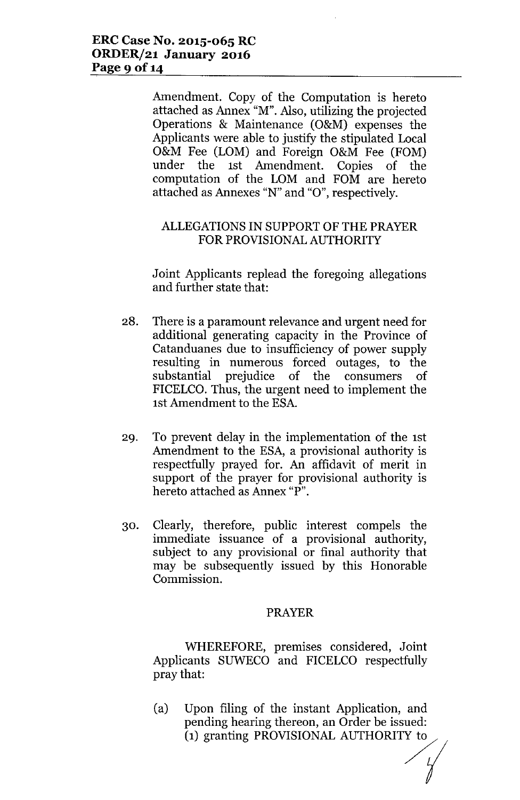Amendment. Copy of the Computation is hereto attached as Annex "M". Also, utilizing the projected Operations & Maintenance (O&M) expenses the Applicants were able to justify the stipulated Local O&M Fee (LOM) and Foreign O&M Fee (FOM) under the 1st Amendment. Copies of the computation of the LOM and FOM are hereto attached as Annexes "N" and "0", respectively.

# ALLEGATIONSIN SUPPORT OF THE PRAYER FOR PROVISIONALAUTHORITY

Joint Applicants replead the foregoing allegations and further state that:

- 28. There is a paramount relevance and urgent need for additional generating capacity in the Province of Catanduanes due to insufficiency of power supply resulting in numerous forced outages, to the substantial prejudice of the consumers of FICELCO. Thus, the urgent need to implement the 1st Amendment to the ESA.
- 29. To prevent delay in the implementation of the 1st Amendment to the ESA, a provisional authority is respectfully prayed for. An affidavit of merit in support of the prayer for provisional authority is hereto attached as Annex "P".
- 30. Clearly, therefore, public interest compels the immediate issuance of a provisional authority, subject to any provisional or final authority that may be subsequently issued by this Honorable Commission.

# PRAYER

WHEREFORE, premises considered, Joint Applicants SUWECO and FICELCO respectfully pray that:

(a) Upon filing of the instant Application, and<br>pending hearing thereon, an Order be issued:<br>(1) granting PROVISIONAL AUTHORITY to pending hearing thereon, an Order be issued: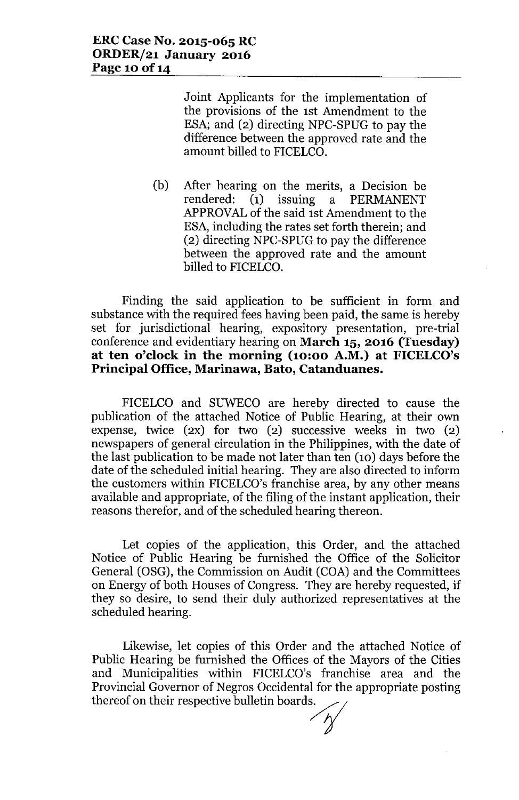Joint Applicants for the implementation of the provisions of the 1st Amendment to the ESA; and (2) directing NPC-SPUG to pay the difference between the approved rate and the amount billed to FICELCO.

(b) After hearing on the merits, a Decision be rendered: (1) issuing a PERMANENT APPROVALof the said 1st Amendment to the ESA, including the rates set forth therein; and (2) directing NPC-SPUG to pay the difference between the approved rate and the amount billed to FICELCO.

Finding the said application to be sufficient in form and substance with the required fees having been paid, the same is hereby set for jurisdictional hearing, expository presentation, pre-trial conference and evidentiary hearing on **March 15, 2016 (Tuesday) at ten o'clock in the morning (10:00 A.M.) at FICELCO's Principal Office, Marinawa, Bato, Catanduanes.**

FICELCO and SUWECO are hereby directed to cause the publication of the attached Notice of Public Hearing, at their own expense, twice  $(2x)$  for two  $(2)$  successive weeks in two  $(2)$ newspapers of general circulation in the Philippines, with the date of the last publication to be made not later than ten (10) days before the date of the scheduled initial hearing. They are also directed to inform the customers within FICELCO's franchise area, by any other means available and appropriate, of the filing of the instant application, their reasons therefor, and of the scheduled hearing thereon.

Let copies of the application, this Order, and the attached Notice of Public Hearing be furnished the Office of the Solicitor General (OSG), the Commission on Audit (COA) and the Committees on Energy of both Houses of Congress. They are hereby requested, if they so desire, to send their duly authorized representatives at the scheduled hearing.

Likewise, let copies of this Order and the attached Notice of Public Hearing be furnished the Offices of the Mayors of the Cities and Municipalities within FICELCO's franchise area and the Provincial Governor of Negros Occidental for the appropriate posting thereof on their respective bulletin boards.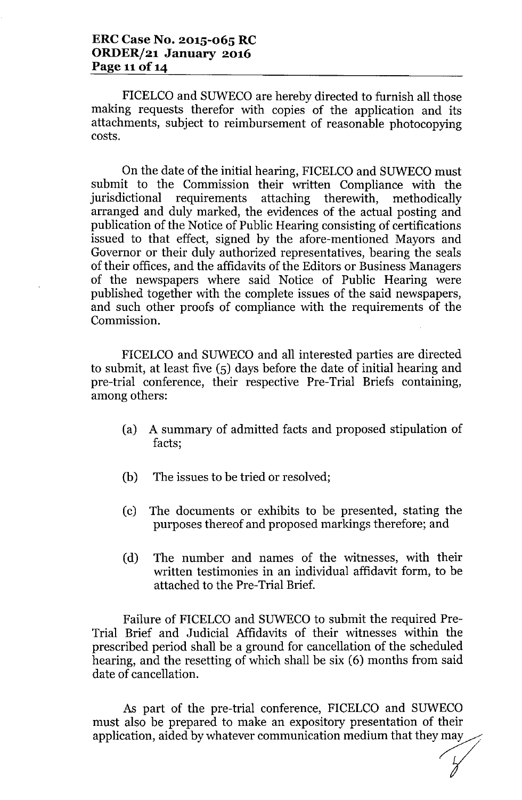FICELCO and SUWECO are hereby directed to furnish all those making requests therefor with copies of the application and its attachments, subject to reimbursement of reasonable photocopying costs.

On the date of the initial hearing, FICELCO and SUWECO must submit to the Commission their written Compliance with the jurisdictional requirements attaching therewith, methodically arranged and duly marked, the evidences of the actual posting and publication of the Notice of Public Hearing consisting of certifications issued to that effect, signed by the afore-mentioned Mayors and Governor or their duly authorized representatives, bearing the seals of their offices, and the affidavits of the Editors or Business Managers of the newspapers where said Notice of Public Hearing were published together with the complete issues of the said newspapers, and such other proofs of compliance with the requirements of the Commission.

FICELCO and SUWECO and all interested parties are directed to submit, at least five (5) days before the date of initial hearing and pre-trial conference, their respective Pre-Trial Briefs containing, among others:

- (a) A summary of admitted facts and proposed stipulation of facts;
- (b) The issues to be tried or resolved;
- (c) The documents or exhibits to be presented, stating the purposes thereof and proposed markings therefore; and
- (d) The number and names of the witnesses, with their written testimonies in an individual affidavit form, to be attached to the Pre-Trial Brief.

Failure of FICELCO and SUWECO to submit the required Pre-Trial Brief and Judicial Affidavits of their witnesses within the prescribed period shall be a ground for cancellation of the scheduled hearing, and the resetting of which shall be six (6) months from said date of cancellation.

As part of the pre-trial conference, FICELCO and SUWECO must also be prepared to make an expository presentation of their application, aided by whatever communication medium that they may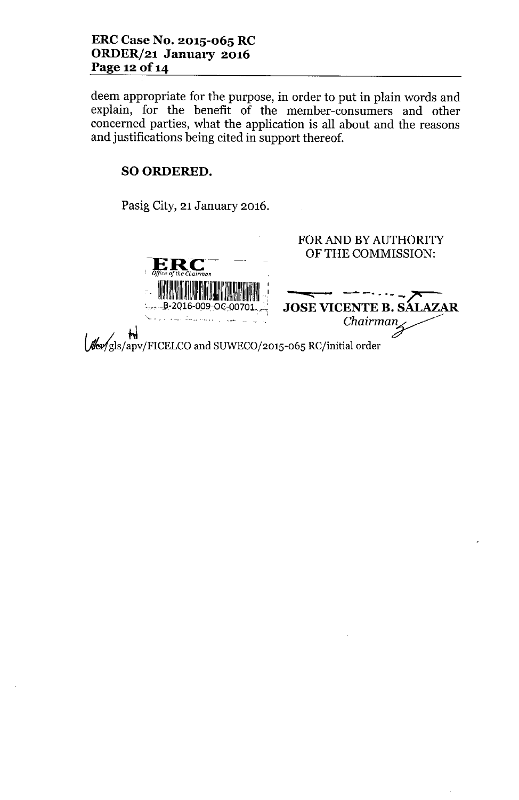deem appropriate for the purpose, in order to put in plain words and explain, for the benefit of the member-consumers and other concerned parties, what the application is all about and the reasons and justifications being cited in support thereof.

# SO ORDERED.

Pasig City, 21 January 2016.

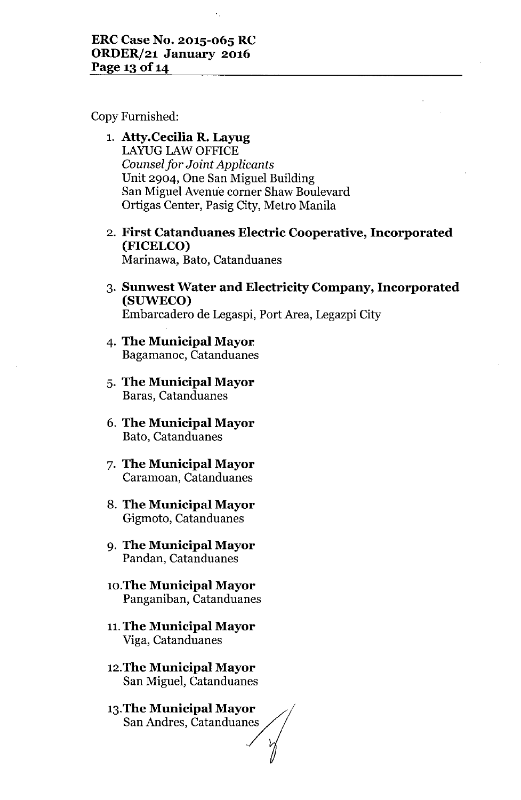Copy Furnished:

- 1. **Atty.Cecilia R. Layug** LAYUG LAW OFFICE *Counselfor Joint Applicants* Unit 2904, One San Miguel Building San Miguel Avenue corner Shaw Boulevard Ortigas Center, Pasig City, Metro Manila
- 2. **First Catanduanes Electric Cooperative, Incorporated (FICELCO)** Marinawa, Bato, Catanduanes
- 3. **Sunwest Water and Electricity Company, Incorporated (SUWECO)** Embarcadero de Legaspi, Port Area, Legazpi City
- **4. The Municipal Mayor.** Bagamanoc, Catanduanes
- 5. **The Municipal Mayor** Baras, Catanduanes
- 6. **The Municipal Mayor** Bato, Catanduanes
- 7. **The Municipal Mayor** Caramoan, Catanduanes
- 8. **The Municipal Mayor** Gigmoto, Catanduanes
- 9. **The Municipal Mayor** Pandan, Catanduanes
- **1O.TheMunicipal Mayor** Panganiban, Catanduanes
- **11.The Municipal Mayor** Viga, Catanduanes
- **12.The Municipal Mayor** San Miguel, Catanduanes
- **13. The Municipal Mayor** San Andres, Catanduanes